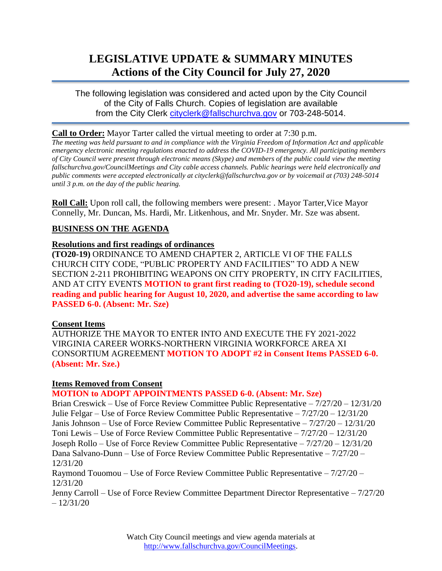# **LEGISLATIVE UPDATE & SUMMARY MINUTES Actions of the City Council for July 27, 2020**

The following legislation was considered and acted upon by the City Council of the City of Falls Church. Copies of legislation are available from the City Clerk [cityclerk@fallschurchva.gov](mailto:cityclerk@fallschurchva.gov) or 703-248-5014.

### **Call to Order:** Mayor Tarter called the virtual meeting to order at 7:30 p.m.

*The meeting was held pursuant to and in compliance with the Virginia Freedom of Information Act and applicable emergency electronic meeting regulations enacted to address the COVID-19 emergency. All participating members of City Council were present through electronic means (Skype) and members of the public could view the meeting fallschurchva.gov/CouncilMeetings and City cable access channels. Public hearings were held electronically and public comments were accepted electronically at cityclerk@fallschurchva.gov or by voicemail at (703) 248-5014 until 3 p.m. on the day of the public hearing.*

**Roll Call:** Upon roll call, the following members were present: . Mayor Tarter, Vice Mayor Connelly, Mr. Duncan, Ms. Hardi, Mr. Litkenhous, and Mr. Snyder. Mr. Sze was absent.

## **BUSINESS ON THE AGENDA**

#### **Resolutions and first readings of ordinances**

**(TO20-19)** ORDINANCE TO AMEND CHAPTER 2, ARTICLE VI OF THE FALLS CHURCH CITY CODE, "PUBLIC PROPERTY AND FACILITIES" TO ADD A NEW SECTION 2-211 PROHIBITING WEAPONS ON CITY PROPERTY, IN CITY FACILITIES, AND AT CITY EVENTS **MOTION to grant first reading to (TO20-19), schedule second reading and public hearing for August 10, 2020, and advertise the same according to law PASSED 6-0. (Absent: Mr. Sze)**

#### **Consent Items**

AUTHORIZE THE MAYOR TO ENTER INTO AND EXECUTE THE FY 2021-2022 VIRGINIA CAREER WORKS-NORTHERN VIRGINIA WORKFORCE AREA XI CONSORTIUM AGREEMENT **MOTION TO ADOPT #2 in Consent Items PASSED 6-0. (Absent: Mr. Sze.)**

#### **Items Removed from Consent**

**MOTION to ADOPT APPOINTMENTS PASSED 6-0. (Absent: Mr. Sze)**

Brian Creswick – Use of Force Review Committee Public Representative – 7/27/20 – 12/31/20 Julie Felgar – Use of Force Review Committee Public Representative – 7/27/20 – 12/31/20 Janis Johnson – Use of Force Review Committee Public Representative – 7/27/20 – 12/31/20 Toni Lewis – Use of Force Review Committee Public Representative – 7/27/20 – 12/31/20 Joseph Rollo – Use of Force Review Committee Public Representative – 7/27/20 – 12/31/20 Dana Salvano-Dunn – Use of Force Review Committee Public Representative – 7/27/20 – 12/31/20

Raymond Touomou – Use of Force Review Committee Public Representative – 7/27/20 – 12/31/20

Jenny Carroll – Use of Force Review Committee Department Director Representative – 7/27/20  $-12/31/20$